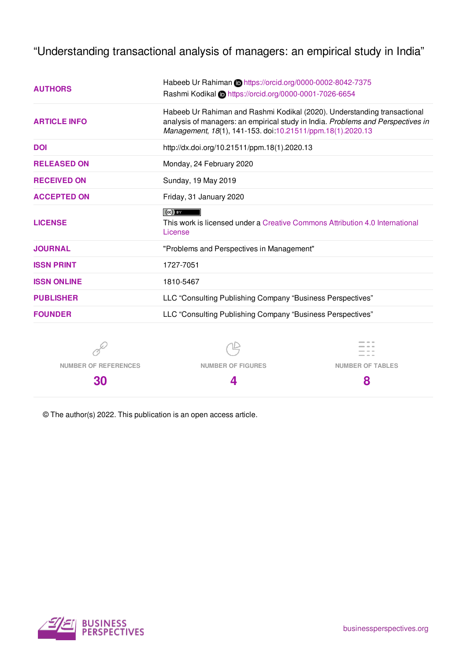"Understanding transactional analysis of managers: an empirical study in India"

| <b>AUTHORS</b>              | Habeeb Ur Rahiman in https://orcid.org/0000-0002-8042-7375                                                                                    |                                                            |  |  |  |  |  |  |
|-----------------------------|-----------------------------------------------------------------------------------------------------------------------------------------------|------------------------------------------------------------|--|--|--|--|--|--|
|                             | Rashmi Kodikal @https://orcid.org/0000-0001-7026-6654                                                                                         |                                                            |  |  |  |  |  |  |
|                             | Habeeb Ur Rahiman and Rashmi Kodikal (2020). Understanding transactional                                                                      |                                                            |  |  |  |  |  |  |
| <b>ARTICLE INFO</b>         | analysis of managers: an empirical study in India. Problems and Perspectives in<br>Management, 18(1), 141-153. doi:10.21511/ppm.18(1).2020.13 |                                                            |  |  |  |  |  |  |
| <b>DOI</b>                  | http://dx.doi.org/10.21511/ppm.18(1).2020.13                                                                                                  |                                                            |  |  |  |  |  |  |
|                             |                                                                                                                                               |                                                            |  |  |  |  |  |  |
| <b>RELEASED ON</b>          | Monday, 24 February 2020                                                                                                                      |                                                            |  |  |  |  |  |  |
| <b>RECEIVED ON</b>          | Sunday, 19 May 2019                                                                                                                           |                                                            |  |  |  |  |  |  |
| <b>ACCEPTED ON</b>          | Friday, 31 January 2020                                                                                                                       |                                                            |  |  |  |  |  |  |
|                             | $(cc)$ By                                                                                                                                     |                                                            |  |  |  |  |  |  |
| <b>LICENSE</b>              | This work is licensed under a Creative Commons Attribution 4.0 International<br>License                                                       |                                                            |  |  |  |  |  |  |
|                             |                                                                                                                                               |                                                            |  |  |  |  |  |  |
| <b>JOURNAL</b>              | "Problems and Perspectives in Management"                                                                                                     |                                                            |  |  |  |  |  |  |
| <b>ISSN PRINT</b>           | 1727-7051                                                                                                                                     |                                                            |  |  |  |  |  |  |
| <b>ISSN ONLINE</b>          | 1810-5467                                                                                                                                     |                                                            |  |  |  |  |  |  |
| <b>PUBLISHER</b>            | LLC "Consulting Publishing Company "Business Perspectives"                                                                                    |                                                            |  |  |  |  |  |  |
| <b>FOUNDER</b>              |                                                                                                                                               | LLC "Consulting Publishing Company "Business Perspectives" |  |  |  |  |  |  |
|                             |                                                                                                                                               |                                                            |  |  |  |  |  |  |
|                             |                                                                                                                                               |                                                            |  |  |  |  |  |  |
| <b>NUMBER OF REFERENCES</b> | <b>NUMBER OF FIGURES</b>                                                                                                                      | <b>NUMBER OF TABLES</b>                                    |  |  |  |  |  |  |
| 30                          | 4                                                                                                                                             | 8                                                          |  |  |  |  |  |  |

© The author(s) 2022. This publication is an open access article.

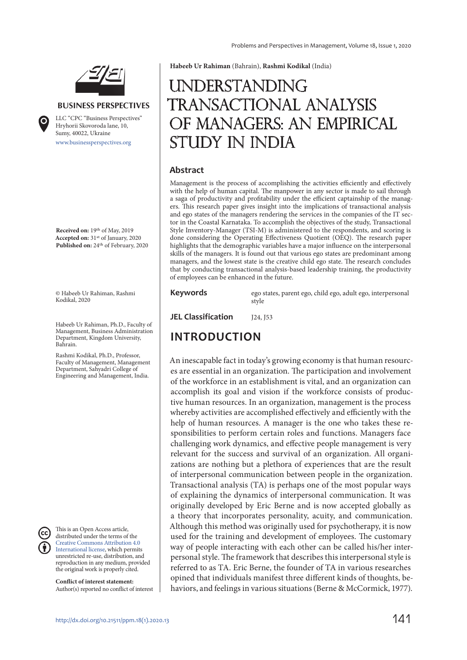

#### **BUSINESS PERSPECTIVES**

www.businessperspectives.org LLC "СPС "Business Perspectives" Hryhorii Skovoroda lane, 10, Sumy, 40022, Ukraine

**Received on:** 19th of May, 2019 **Accepted on:** 31st of January, 2020 Published on: 24<sup>th</sup> of February, 2020

© Habeeb Ur Rahiman, Rashmi Kodikal, 2020

Habeeb Ur Rahiman, Ph.D., Faculty of Management, Business Administration Department, Kingdom University, Bahrain.

Rashmi Kodikal, Ph.D., Professor, Faculty of Management, Management Department, Sahyadri College of Engineering and Management, India.



This is an Open Access article, distributed under the terms of the Creative Commons Attribution 4.0 International license, which permits unrestricted re-use, distribution, and reproduction in any medium, provided the original work is properly cited.

**Conflict of interest statement:**  Author(s) reported no conflict of interest **Habeeb Ur Rahiman** (Bahrain), **Rashmi Kodikal** (India)

# **UNDERSTANDING** transactional analysis of managers: an empirical study in India

#### **Abstract**

Management is the process of accomplishing the activities efficiently and effectively with the help of human capital. The manpower in any sector is made to sail through a saga of productivity and profitability under the efficient captainship of the managers. This research paper gives insight into the implications of transactional analysis and ego states of the managers rendering the services in the companies of the IT sector in the Coastal Karnataka. To accomplish the objectives of the study, Transactional Style Inventory-Manager (TSI-M) is administered to the respondents, and scoring is done considering the Operating Effectiveness Quotient (OEQ). The research paper highlights that the demographic variables have a major influence on the interpersonal skills of the managers. It is found out that various ego states are predominant among managers, and the lowest state is the creative child ego state. The research concludes that by conducting transactional analysis-based leadership training, the productivity of employees can be enhanced in the future.

**Keywords** ego states, parent ego, child ego, adult ego, interpersonal style

**JEL Classification** 124, 153

### **INTRODUCTION**

An inescapable fact in today's growing economy is that human resources are essential in an organization. The participation and involvement of the workforce in an establishment is vital, and an organization can accomplish its goal and vision if the workforce consists of productive human resources. In an organization, management is the process whereby activities are accomplished effectively and efficiently with the help of human resources. A manager is the one who takes these responsibilities to perform certain roles and functions. Managers face challenging work dynamics, and effective people management is very relevant for the success and survival of an organization. All organizations are nothing but a plethora of experiences that are the result of interpersonal communication between people in the organization. Transactional analysis (TA) is perhaps one of the most popular ways of explaining the dynamics of interpersonal communication. It was originally developed by Eric Berne and is now accepted globally as a theory that incorporates personality, acuity, and communication. Although this method was originally used for psychotherapy, it is now used for the training and development of employees. The customary way of people interacting with each other can be called his/her interpersonal style. The framework that describes this interpersonal style is referred to as TA. Eric Berne, the founder of TA in various researches opined that individuals manifest three different kinds of thoughts, behaviors, and feelings in various situations (Berne & McCormick, 1977).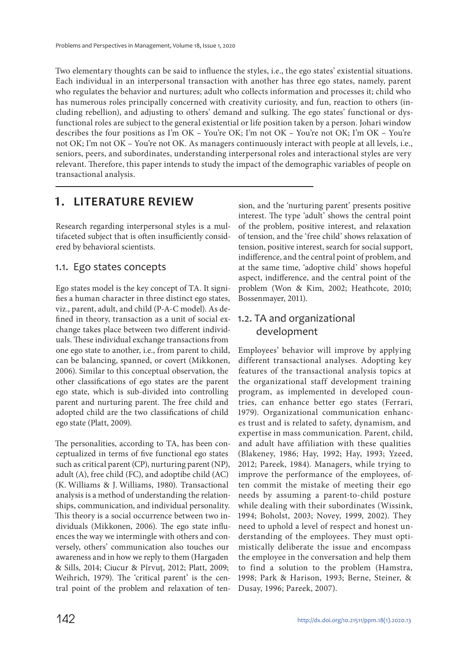Two elementary thoughts can be said to influence the styles, i.e., the ego states' existential situations. Each individual in an interpersonal transaction with another has three ego states, namely, parent who regulates the behavior and nurtures; adult who collects information and processes it; child who has numerous roles principally concerned with creativity curiosity, and fun, reaction to others (including rebellion), and adjusting to others' demand and sulking. The ego states' functional or dysfunctional roles are subject to the general existential or life position taken by a person. Johari window describes the four positions as I'm OK – You're OK; I'm not OK – You're not OK; I'm OK – You're not OK; I'm not OK – You're not OK. As managers continuously interact with people at all levels, i.e., seniors, peers, and subordinates, understanding interpersonal roles and interactional styles are very relevant. Therefore, this paper intends to study the impact of the demographic variables of people on transactional analysis.

### **1. LITERATURE REVIEW**

Research regarding interpersonal styles is a multifaceted subject that is often insufficiently considered by behavioral scientists.

### 1.1. Ego states concepts

Ego states model is the key concept of TA. It signifies a human character in three distinct ego states, viz., parent, adult, and child (P-A-C model). As defined in theory, transaction as a unit of social exchange takes place between two different individuals. These individual exchange transactions from one ego state to another, i.e., from parent to child, can be balancing, spanned, or covert (Mikkonen, 2006). Similar to this conceptual observation, the other classifications of ego states are the parent ego state, which is sub-divided into controlling parent and nurturing parent. The free child and adopted child are the two classifications of child ego state (Platt, 2009).

The personalities, according to TA, has been conceptualized in terms of five functional ego states such as critical parent (CP), nurturing parent (NP), adult (A), free child (FC), and adoptibe child (AC) (K. Williams & J. Williams, 1980). Transactional analysis is a method of understanding the relationships, communication, and individual personality. This theory is a social occurrence between two individuals (Mikkonen, 2006). The ego state influences the way we intermingle with others and conversely, others' communication also touches our awareness and in how we reply to them (Hargaden & Sills, 2014; Ciucur & Pîrvuţ, 2012; Platt, 2009; Weihrich, 1979). The 'critical parent' is the central point of the problem and relaxation of tension, and the 'nurturing parent' presents positive interest. The type 'adult' shows the central point of the problem, positive interest, and relaxation of tension, and the 'free child' shows relaxation of tension, positive interest, search for social support, indifference, and the central point of problem, and at the same time, 'adoptive child' shows hopeful aspect, indifference, and the central point of the problem (Won & Kim, 2002; Heathcote, 2010; Bossenmayer, 2011).

### 1.2. TA and organizational development

Employees' behavior will improve by applying different transactional analyses. Adopting key features of the transactional analysis topics at the organizational staff development training program, as implemented in developed countries, can enhance better ego states (Ferrari, 1979). Organizational communication enhances trust and is related to safety, dynamism, and expertise in mass communication. Parent, child, and adult have affiliation with these qualities (Blakeney, 1986; Hay, 1992; Hay, 1993; Yzeed, 2012; Pareek, 1984). Managers, while trying to improve the performance of the employees, often commit the mistake of meeting their ego needs by assuming a parent-to-child posture while dealing with their subordinates (Wissink, 1994; Boholst, 2003; Novey, 1999, 2002). They need to uphold a level of respect and honest understanding of the employees. They must optimistically deliberate the issue and encompass the employee in the conversation and help them to find a solution to the problem (Hamstra, 1998; Park & Harison, 1993; Berne, Steiner, & Dusay, 1996; Pareek, 2007).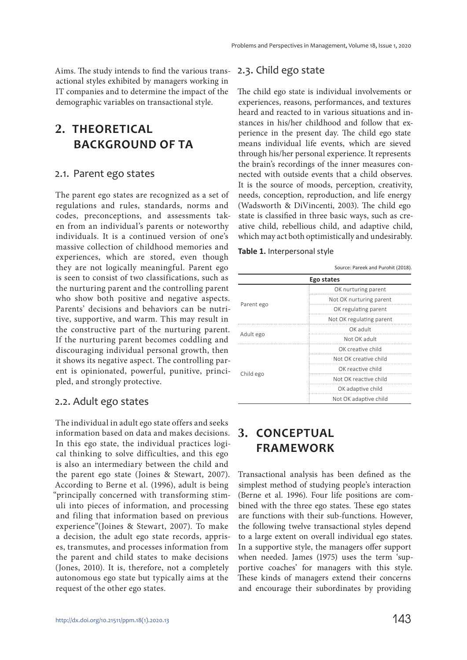Aims. The study intends to find the various transactional styles exhibited by managers working in IT companies and to determine the impact of the demographic variables on transactional style.

## **2. THEORETICAL BACKGROUND OF TA**

### 2.1. Parent ego states

The parent ego states are recognized as a set of regulations and rules, standards, norms and codes, preconceptions, and assessments taken from an individual's parents or noteworthy individuals. It is a continued version of one's massive collection of childhood memories and experiences, which are stored, even though they are not logically meaningful. Parent ego is seen to consist of two classifications, such as the nurturing parent and the controlling parent who show both positive and negative aspects. Parents' decisions and behaviors can be nutritive, supportive, and warm. This may result in the constructive part of the nurturing parent. If the nurturing parent becomes coddling and discouraging individual personal growth, then it shows its negative aspect. The controlling parent is opinionated, powerful, punitive, principled, and strongly protective.

### 2.2. Adult ego states

The individual in adult ego state offers and seeks information based on data and makes decisions. In this ego state, the individual practices logical thinking to solve difficulties, and this ego is also an intermediary between the child and the parent ego state (Joines & Stewart, 2007). According to Berne et al. (1996), adult is being "principally concerned with transforming stimuli into pieces of information, and processing and filing that information based on previous experience"(Joines & Stewart, 2007). To make a decision, the adult ego state records, apprises, transmutes, and processes information from the parent and child states to make decisions (Jones, 2010). It is, therefore, not a completely autonomous ego state but typically aims at the request of the other ego states.

### 2.3. Child ego state

The child ego state is individual involvements or experiences, reasons, performances, and textures heard and reacted to in various situations and instances in his/her childhood and follow that experience in the present day. The child ego state means individual life events, which are sieved through his/her personal experience. It represents the brain's recordings of the inner measures connected with outside events that a child observes. It is the source of moods, perception, creativity, needs, conception, reproduction, and life energy (Wadsworth & DiVincenti, 2003). The child ego state is classified in three basic ways, such as creative child, rebellious child, and adaptive child, which may act both optimistically and undesirably.

#### **Table 1.** Interpersonal style

|            | Source: Pareek and Purohit (2018). |
|------------|------------------------------------|
|            | Ego states                         |
|            | OK nurturing parent                |
|            | Not OK nurturing parent            |
| Parent ego | OK regulating parent               |
|            | Not OK regulating parent           |
|            | OK adult                           |
| Adult ego  | Not OK adult                       |
|            | OK creative child                  |
|            | Not OK creative child              |
|            | OK reactive child                  |
| Child ego  | Not OK reactive child              |
|            | OK adaptive child                  |
|            | Not OK adaptive child              |

## **3. CONCEPTUAL FRAMEWORK**

Transactional analysis has been defined as the simplest method of studying people's interaction (Berne et al. 1996). Four life positions are combined with the three ego states. These ego states are functions with their sub-functions. However, the following twelve transactional styles depend to a large extent on overall individual ego states. In a supportive style, the managers offer support when needed. James (1975) uses the term 'supportive coaches' for managers with this style. These kinds of managers extend their concerns and encourage their subordinates by providing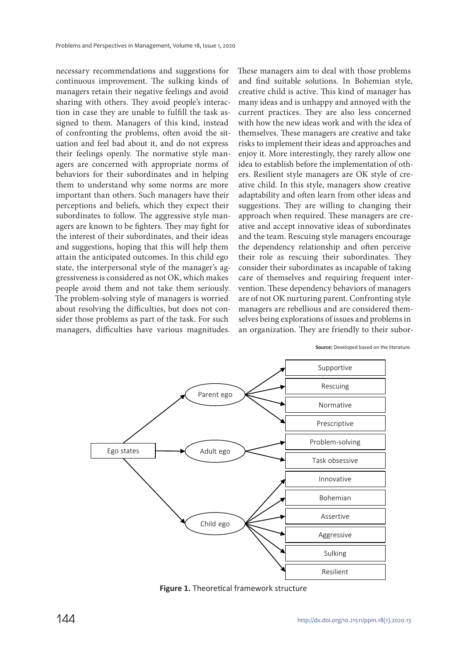necessary recommendations and suggestions for continuous improvement. The sulking kinds of managers retain their negative feelings and avoid sharing with others. They avoid people's interaction in case they are unable to fulfill the task assigned to them. Managers of this kind, instead of confronting the problems, often avoid the situation and feel bad about it, and do not express their feelings openly. The normative style managers are concerned with appropriate norms of behaviors for their subordinates and in helping them to understand why some norms are more important than others. Such managers have their perceptions and beliefs, which they expect their subordinates to follow. The aggressive style managers are known to be fighters. They may fight for the interest of their subordinates, and their ideas and suggestions, hoping that this will help them attain the anticipated outcomes. In this child ego state, the interpersonal style of the manager's aggressiveness is considered as not OK, which makes people avoid them and not take them seriously. The problem-solving style of managers is worried about resolving the difficulties, but does not consider those problems as part of the task. For such managers, difficulties have various magnitudes. These managers aim to deal with those problems and find suitable solutions. In Bohemian style, creative child is active. This kind of manager has many ideas and is unhappy and annoyed with the current practices. They are also less concerned with how the new ideas work and with the idea of themselves. These managers are creative and take risks to implement their ideas and approaches and enjoy it. More interestingly, they rarely allow one idea to establish before the implementation of others. Resilient style managers are OK style of creative child. In this style, managers show creative adaptability and often learn from other ideas and suggestions. They are willing to changing their approach when required. These managers are creative and accept innovative ideas of subordinates and the team. Rescuing style managers encourage the dependency relationship and often perceive their role as rescuing their subordinates. They consider their subordinates as incapable of taking care of themselves and requiring frequent intervention. These dependency behaviors of managers are of not OK nurturing parent. Confronting style managers are rebellious and are considered themselves being explorations of issues and problems in an organization. They are friendly to their subor-



**Source:** Developed based on the literature.

**Figure 1.** Theoretical framework structure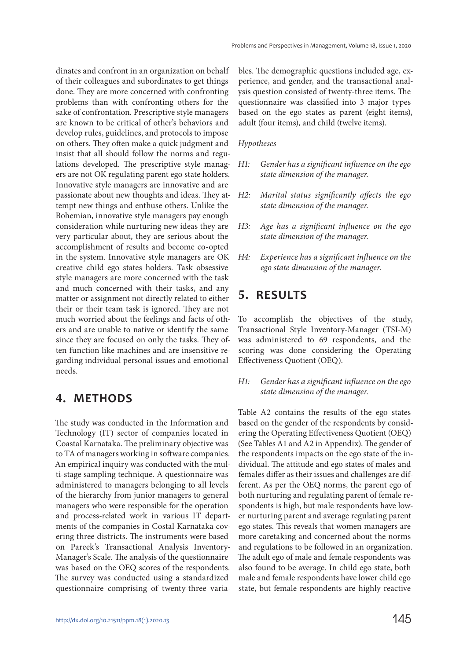dinates and confront in an organization on behalf of their colleagues and subordinates to get things done. They are more concerned with confronting problems than with confronting others for the sake of confrontation. Prescriptive style managers are known to be critical of other's behaviors and develop rules, guidelines, and protocols to impose on others. They often make a quick judgment and insist that all should follow the norms and regulations developed. The prescriptive style managers are not OK regulating parent ego state holders. Innovative style managers are innovative and are passionate about new thoughts and ideas. They attempt new things and enthuse others. Unlike the Bohemian, innovative style managers pay enough consideration while nurturing new ideas they are very particular about, they are serious about the accomplishment of results and become co-opted in the system. Innovative style managers are OK creative child ego states holders. Task obsessive style managers are more concerned with the task and much concerned with their tasks, and any matter or assignment not directly related to either their or their team task is ignored. They are not much worried about the feelings and facts of others and are unable to native or identify the same since they are focused on only the tasks. They often function like machines and are insensitive regarding individual personal issues and emotional needs.

### **4. METHODS**

The study was conducted in the Information and Technology (IT) sector of companies located in Coastal Karnataka. The preliminary objective was to TA of managers working in software companies. An empirical inquiry was conducted with the multi-stage sampling technique. A questionnaire was administered to managers belonging to all levels of the hierarchy from junior managers to general managers who were responsible for the operation and process-related work in various IT departments of the companies in Costal Karnataka covering three districts. The instruments were based on Pareek's Transactional Analysis Inventory-Manager's Scale. The analysis of the questionnaire was based on the OEQ scores of the respondents. The survey was conducted using a standardized questionnaire comprising of twenty-three varia-

bles. The demographic questions included age, experience, and gender, and the transactional analysis question consisted of twenty-three items. The questionnaire was classified into 3 major types based on the ego states as parent (eight items), adult (four items), and child (twelve items).

#### Hypotheses

- H1: Gender has a significant influence on the ego state dimension of the manager.
- H2: Marital status significantly affects the ego state dimension of the manager.
- H3: Age has a significant influence on the ego state dimension of the manager.
- H4: Experience has a significant influence on the ego state dimension of the manager.

### **5. RESULTS**

To accomplish the objectives of the study, Transactional Style Inventory-Manager (TSI-M) was administered to 69 respondents, and the scoring was done considering the Operating Effectiveness Quotient (OEQ).

#### H1: Gender has a significant influence on the ego state dimension of the manager.

Table A2 contains the results of the ego states based on the gender of the respondents by considering the Operating Effectiveness Quotient (OEQ) (See Tables A1 and A2 in Appendix). The gender of the respondents impacts on the ego state of the individual. The attitude and ego states of males and females differ as their issues and challenges are different. As per the OEQ norms, the parent ego of both nurturing and regulating parent of female respondents is high, but male respondents have lower nurturing parent and average regulating parent ego states. This reveals that women managers are more caretaking and concerned about the norms and regulations to be followed in an organization. The adult ego of male and female respondents was also found to be average. In child ego state, both male and female respondents have lower child ego state, but female respondents are highly reactive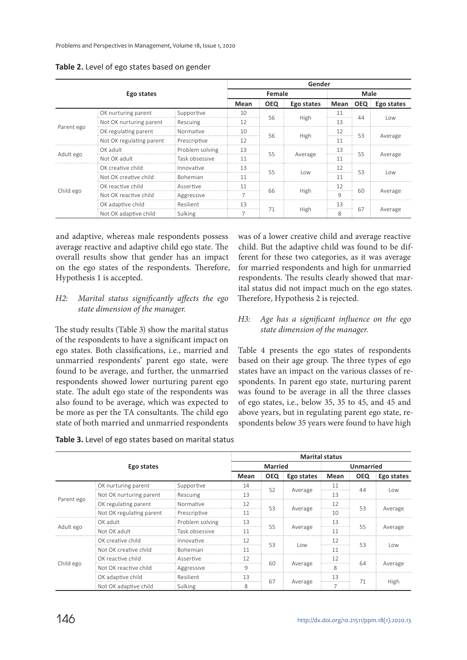|            |                          |                 | Gender |            |            |              |    |            |  |  |  |
|------------|--------------------------|-----------------|--------|------------|------------|--------------|----|------------|--|--|--|
|            |                          | Female          |        | Male       |            |              |    |            |  |  |  |
|            |                          |                 | Mean   | <b>OEQ</b> | Ego states | Mean OEQ     |    | Ego states |  |  |  |
|            | OK nurturing parent      | Supportive      | 10     |            |            | 11           |    |            |  |  |  |
|            | Not OK nurturing parent  | Rescuing        | 12     | 56         | High       | 13           | 44 | l ow       |  |  |  |
| Parent ego | OK regulating parent     | Normative       | 10     |            | High       | 12<br>       | 53 | Average    |  |  |  |
|            | Not OK regulating parent | Prescriptive    | 12     | 56         |            | 11           |    |            |  |  |  |
|            | OK adult                 | Problem solving | 13     |            |            | 13           |    |            |  |  |  |
| Adult ego  | Not OK adult             | Task obsessive  | 11     | 55         | Average    | 11           | 55 | Average    |  |  |  |
|            | OK creative child        | Innovative      | 13     | 55         |            | 12           | 53 |            |  |  |  |
|            | Not OK creative child    | <b>Bohemian</b> | 11     |            | l ow       | 11           |    | l ow       |  |  |  |
|            | OK reactive child        | Assertive       | 11     |            |            | 12           |    |            |  |  |  |
| Child ego  | Not OK reactive child    | Aggressive      |        | 66         | High       | $\mathsf{Q}$ | 60 | Average    |  |  |  |
|            | OK adaptive child        | Resilient       | 13     |            |            | 13           |    | Average    |  |  |  |
|            | Not OK adaptive child    | Sulking         |        | 71         | High       | 8            | 67 |            |  |  |  |

**Table 2.** Level of ego states based on gender

and adaptive, whereas male respondents possess average reactive and adaptive child ego state. The overall results show that gender has an impact on the ego states of the respondents. Therefore, Hypothesis 1 is accepted.

#### H2: Marital status significantly affects the ego state dimension of the manager.

The study results (Table 3) show the marital status of the respondents to have a significant impact on ego states. Both classifications, i.e., married and unmarried respondents' parent ego state, were found to be average, and further, the unmarried respondents showed lower nurturing parent ego state. The adult ego state of the respondents was also found to be average, which was expected to be more as per the TA consultants. The child ego state of both married and unmarried respondents

was of a lower creative child and average reactive child. But the adaptive child was found to be different for these two categories, as it was average for married respondents and high for unmarried respondents. The results clearly showed that marital status did not impact much on the ego states. Therefore, Hypothesis 2 is rejected.

### H3: Age has a significant influence on the ego state dimension of the manager.

Table 4 presents the ego states of respondents based on their age group. The three types of ego states have an impact on the various classes of respondents. In parent ego state, nurturing parent was found to be average in all the three classes of ego states, i.e., below 35, 35 to 45, and 45 and above years, but in regulating parent ego state, respondents below 35 years were found to have high

|            |                          |                 | <b>Marital status</b> |                  |            |                       |    |         |  |  |  |
|------------|--------------------------|-----------------|-----------------------|------------------|------------|-----------------------|----|---------|--|--|--|
|            |                          | <b>Married</b>  |                       | <b>Unmarried</b> |            |                       |    |         |  |  |  |
|            | Mean                     | <b>OEQ</b>      | Ego states            | Mean             | <b>OEQ</b> | Ego states            |    |         |  |  |  |
|            | OK nurturing parent      | Supportive      | 14                    |                  |            | 11                    |    |         |  |  |  |
|            | Not OK nurturing parent  | Rescuing        | 13                    | 52               | Average    | 13                    | 44 | l ow    |  |  |  |
| Parent ego | OK regulating parent     | Normative       | 12                    |                  | Average    | 12                    | 53 | Average |  |  |  |
|            | Not OK regulating parent | Prescriptive    | 11                    | 53               |            | 10                    |    |         |  |  |  |
|            | OK adult                 | Problem solving | 13                    |                  |            | 13<br>                |    |         |  |  |  |
| Adult ego  | Not OK adult             | Task obsessive  | 11                    | 55               | Average    | 11                    | 55 | Average |  |  |  |
|            | OK creative child        | Innovative      | 12                    |                  |            | 12                    |    |         |  |  |  |
|            | Not OK creative child    | <b>Bohemian</b> | 11                    | 53               | Low        | 11                    | 53 | l ow    |  |  |  |
|            | OK reactive child        | Assertive       | 12                    |                  |            | 12                    |    | Average |  |  |  |
| Child ego  | Not OK reactive child    | Aggressive      | 9                     | 60               | Average    | $\mathsf{\mathsf{R}}$ | 64 |         |  |  |  |
|            | OK adaptive child        | Resilient       | 13                    |                  |            | 13                    | 71 |         |  |  |  |
|            | Not OK adaptive child    | Sulking         | 8                     | 67               | Average    |                       |    | High    |  |  |  |

**Table 3.** Level of ego states based on marital status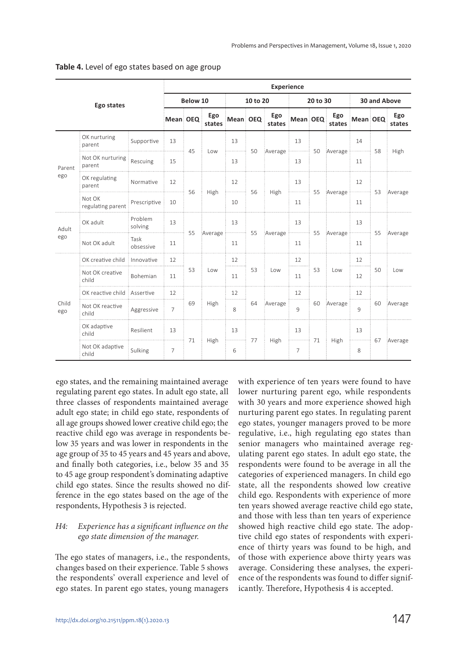|              |                               | <b>Experience</b>  |                 |          |               |                        |    |                                                                     |              |    |                                                                                 |              |    |                    |
|--------------|-------------------------------|--------------------|-----------------|----------|---------------|------------------------|----|---------------------------------------------------------------------|--------------|----|---------------------------------------------------------------------------------|--------------|----|--------------------|
|              | Ego states                    |                    |                 | Below 10 |               | 10 to 20               |    |                                                                     | 20 to 30     |    |                                                                                 | 30 and Above |    |                    |
|              |                               |                    | Mean OEQ        |          | Ego<br>states | Mean OEQ               |    | Ego<br>states                                                       | Mean OEQ     |    | Ego<br>states                                                                   | Mean OEQ     |    | Ego<br>states      |
|              | OK nurturing<br>parent        | Supportive         | 13              | 45       | Low           | 13<br>$\frac{1}{2}$ 50 |    | $\frac{1}{2}$ Average $\frac{1}{2}$ = 50 Average $\frac{1}{2}$ = 58 | 13           |    |                                                                                 | 14           |    | $\frac{1}{2}$ High |
| Parent       | Not OK nurturing<br>parent    | Rescuing           | 15              |          |               | 13                     |    |                                                                     | 13           |    |                                                                                 | 11           |    |                    |
| ego          | OK regulating<br>parent       | Normative          | 12              | 56       | High          | 12<br>$\frac{1}{2}$ 56 |    | $\frac{1}{2}$ High                                                  | 13           |    | $\frac{1}{2}$ 55 Average $\frac{1}{2}$ 53 Average                               | 12           |    |                    |
|              | Not OK<br>regulating parent   | Prescriptive       | 10              |          |               | 10                     |    |                                                                     | 11           |    |                                                                                 | 11           |    |                    |
| Adult        | OK adult                      | Problem<br>solving | 13              | 55       | Average       | 13                     |    | Average <b>Election Average</b> Average Average                     | 13           |    |                                                                                 | 13           |    |                    |
| ego          | Not OK adult                  | Task<br>obsessive  | 11              |          |               | 11                     |    |                                                                     | 11           |    |                                                                                 | 11           |    |                    |
|              | OK creative child             | : Innovative       | 12 <sup>1</sup> |          |               | 12                     |    |                                                                     | 12           |    | Low                                                                             | 12           |    |                    |
|              | Not OK creative<br>child      | <b>Bohemian</b>    | 11              | 53       | Low           | 11                     | 53 | Low                                                                 | 11           | 53 |                                                                                 | 12           | 50 | Low                |
|              | OK reactive child : Assertive |                    | 12              |          |               | 12                     |    |                                                                     | 12           |    |                                                                                 | 12           |    |                    |
| Child<br>ego | Not OK reactive<br>child      | Aggressive         | $\overline{7}$  | 69       | High          | 8                      | 64 | Average                                                             | $\mathsf{q}$ |    | 60 Average                                                                      | $\mathsf{q}$ |    | 60 Average         |
|              | OK adaptive<br>child          | Resilient          | 13              | 71       |               | 13                     |    |                                                                     | 13           |    | $\frac{1}{2}$ High $\frac{1}{2}$ 71 $\frac{1}{2}$ High $\frac{1}{2}$ 67 Average | 13           |    |                    |
|              | Not OK adaptive<br>child      | Sulking            | $\overline{7}$  |          | High          | 6                      |    |                                                                     | 7            |    |                                                                                 | 8            |    |                    |

#### **Table 4.** Level of ego states based on age group

ego states, and the remaining maintained average regulating parent ego states. In adult ego state, all three classes of respondents maintained average adult ego state; in child ego state, respondents of all age groups showed lower creative child ego; the reactive child ego was average in respondents below 35 years and was lower in respondents in the age group of 35 to 45 years and 45 years and above, and finally both categories, i.e., below 35 and 35 to 45 age group respondent's dominating adaptive child ego states. Since the results showed no difference in the ego states based on the age of the respondents, Hypothesis 3 is rejected.

### H4: Experience has a significant influence on the ego state dimension of the manager.

The ego states of managers, i.e., the respondents, changes based on their experience. Table 5 shows the respondents' overall experience and level of ego states. In parent ego states, young managers

with experience of ten years were found to have lower nurturing parent ego, while respondents with 30 years and more experience showed high nurturing parent ego states. In regulating parent ego states, younger managers proved to be more regulative, i.e., high regulating ego states than senior managers who maintained average regulating parent ego states. In adult ego state, the respondents were found to be average in all the categories of experienced managers. In child ego state, all the respondents showed low creative child ego. Respondents with experience of more ten years showed average reactive child ego state, and those with less than ten years of experience showed high reactive child ego state. The adoptive child ego states of respondents with experience of thirty years was found to be high, and of those with experience above thirty years was average. Considering these analyses, the experience of the respondents was found to differ significantly. Therefore, Hypothesis 4 is accepted.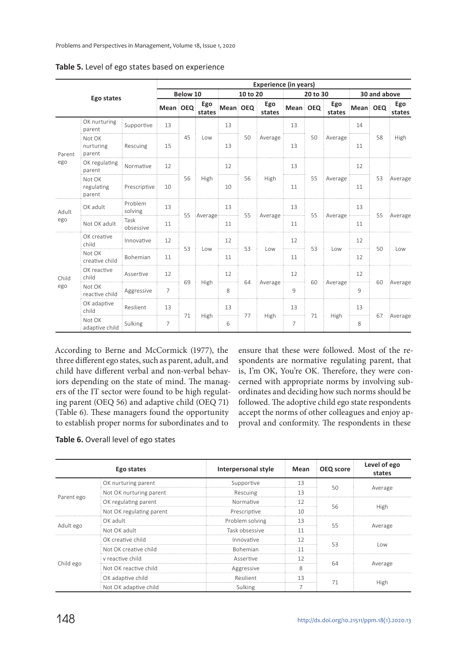|               |                                | <b>Experience (in years)</b> |                |            |               |                              |    |                    |              |                                     |               |              |            |               |
|---------------|--------------------------------|------------------------------|----------------|------------|---------------|------------------------------|----|--------------------|--------------|-------------------------------------|---------------|--------------|------------|---------------|
|               |                                |                              | Below 10       |            |               | 10 to 20                     |    |                    | 20 to 30     |                                     |               | 30 and above |            |               |
|               | Ego states                     |                              | Mean OEQ       |            | Ego<br>states | Mean OEQ                     |    | Ego<br>states      | Mean OEQ     |                                     | Ego<br>states | Mean OEQ     |            | Ego<br>states |
|               | OK nurturing<br>parent         | Supportive                   | 13             |            |               | 13                           |    |                    | 13           |                                     |               | 14           |            |               |
| Parent<br>ego | Not OK<br>nurturing<br>parent  | Rescuing                     | 15             | 45         | Low           | 13                           | 50 | Average            | 13           | 50                                  | Average i     | 11           | 58         | High          |
|               | OK regulating<br>parent        | Normative                    | 12             |            |               | 12                           |    | High               | 13           |                                     |               | 12           |            |               |
|               | Not OK<br>regulating<br>parent | Prescriptive                 | 10             | 56         | High          | 10                           | 56 |                    | 11           | 55                                  | Average i     | 11           | 53         | Average       |
| Adult         | OK adult                       | Problem<br>solving           | 13             | 55 Average | 13            |                              |    | 13                 |              | $\frac{1}{2}$ Average $\frac{1}{2}$ | 13            |              | 55 Average |               |
| ego           | Not OK adult                   | Task<br>obsessive            | 11             |            |               | 11                           |    | Average immunities | 11           | 55                                  |               | 11           |            |               |
|               | OK creative<br>child           | Innovative                   | 12             | 53         | Low           | 12                           |    | 53<br>Low          | 12           | 53                                  | Low           | 12           | 50         | Low           |
|               | Not OK<br>creative child       | <b>Bohemian</b>              | 11             |            |               | 11                           |    |                    | 11           |                                     |               | 12           |            |               |
| Child         | OK reactive<br>child           | Assertive                    | 12             | 69         |               | 12                           | 64 |                    | 12           |                                     | : Average :   | 12           |            |               |
| ego           | Not OK<br>reactive child       | Aggressive                   | $\overline{7}$ |            | High          | 8                            |    | Average immunities | $\mathsf{Q}$ | 60                                  |               | 9            | 60         | Average       |
|               | OK adaptive<br>child           | Resilient                    | 13             |            |               | 13                           |    |                    | 13           |                                     |               | 13           |            |               |
|               | Not OK<br>adaptive child       | Sulking                      | $\overline{7}$ | 71         | High          | <del>j</del> ennement j<br>6 | 77 | High               | 7            | 71                                  | High          | 8            | 67         | Average       |

**Table 5.** Level of ego states based on experience

According to Berne and McCormick (1977), the three different ego states, such as parent, adult, and child have different verbal and non-verbal behaviors depending on the state of mind. The managers of the IT sector were found to be high regulating parent (OEQ 56) and adaptive child (OEQ 71) (Table 6). These managers found the opportunity to establish proper norms for subordinates and to

ensure that these were followed. Most of the respondents are normative regulating parent, that is, I'm OK, You're OK. Therefore, they were concerned with appropriate norms by involving subordinates and deciding how such norms should be followed. The adoptive child ego state respondents accept the norms of other colleagues and enjoy approval and conformity. The respondents in these

|  | Table 6. Overall level of ego states |  |  |  |
|--|--------------------------------------|--|--|--|
|--|--------------------------------------|--|--|--|

|            | Ego states               | Interpersonal style | Mean | OEQ score | Level of ego<br>states |  |
|------------|--------------------------|---------------------|------|-----------|------------------------|--|
|            | OK nurturing parent      | Supportive          | 13   | 50        |                        |  |
|            | Not OK nurturing parent  | Rescuing            | 13   |           | Average                |  |
| Parent ego | OK regulating parent     | Normative           | 12   | 56        |                        |  |
|            | Not OK regulating parent | Prescriptive        | 10   |           | High                   |  |
|            | OK adult                 | Problem solving     | 13   |           | Average                |  |
| Adult ego  | Not OK adult             | Task obsessive      | 11   | 55        |                        |  |
|            | OK creative child        | Innovative          | 12   |           | l ow                   |  |
|            | Not OK creative child    | <b>Bohemian</b>     | 11   | 53        |                        |  |
|            | v reactive child         | Assertive           | 12   |           |                        |  |
| Child ego  | Not OK reactive child    | Aggressive          | 8    | 64        | Average                |  |
|            | OK adaptive child        | Resilient           | 13   |           | High                   |  |
|            | Not OK adaptive child    | Sulking             |      | 71        |                        |  |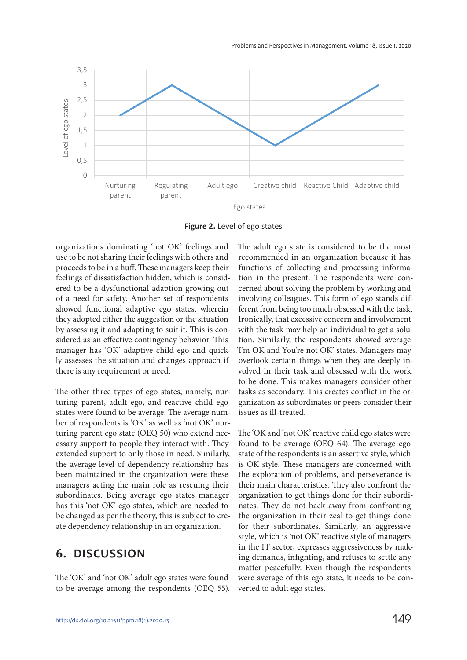

**Figure 2.** Level of ego states

organizations dominating 'not OK' feelings and use to be not sharing their feelings with others and proceeds to be in a huff. These managers keep their feelings of dissatisfaction hidden, which is considered to be a dysfunctional adaption growing out of a need for safety. Another set of respondents showed functional adaptive ego states, wherein they adopted either the suggestion or the situation by assessing it and adapting to suit it. This is considered as an effective contingency behavior. This manager has 'OK' adaptive child ego and quickly assesses the situation and changes approach if there is any requirement or need.

The other three types of ego states, namely, nurturing parent, adult ego, and reactive child ego states were found to be average. The average number of respondents is 'OK' as well as 'not OK' nurturing parent ego state (OEQ 50) who extend necessary support to people they interact with. They extended support to only those in need. Similarly, the average level of dependency relationship has been maintained in the organization were these managers acting the main role as rescuing their subordinates. Being average ego states manager has this 'not OK' ego states, which are needed to be changed as per the theory, this is subject to create dependency relationship in an organization.

### **6. DISCUSSION**

The 'OK' and 'not OK' adult ego states were found to be average among the respondents (OEQ 55). The adult ego state is considered to be the most recommended in an organization because it has functions of collecting and processing information in the present. The respondents were concerned about solving the problem by working and involving colleagues. This form of ego stands different from being too much obsessed with the task. Ironically, that excessive concern and involvement with the task may help an individual to get a solution. Similarly, the respondents showed average 'I'm OK and You're not OK' states. Managers may overlook certain things when they are deeply involved in their task and obsessed with the work to be done. This makes managers consider other tasks as secondary. This creates conflict in the organization as subordinates or peers consider their issues as ill-treated.

The 'OK and 'not OK' reactive child ego states were found to be average (OEQ 64). The average ego state of the respondents is an assertive style, which is OK style. These managers are concerned with the exploration of problems, and perseverance is their main characteristics. They also confront the organization to get things done for their subordinates. They do not back away from confronting the organization in their zeal to get things done for their subordinates. Similarly, an aggressive style, which is 'not OK' reactive style of managers in the IT sector, expresses aggressiveness by making demands, infighting, and refuses to settle any matter peacefully. Even though the respondents were average of this ego state, it needs to be converted to adult ego states.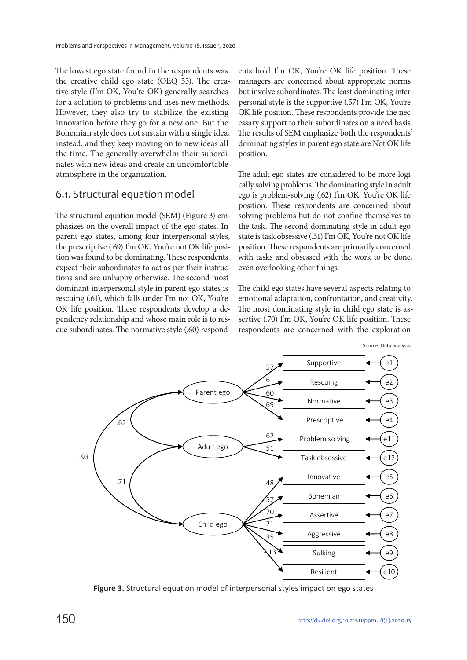The lowest ego state found in the respondents was the creative child ego state (OEQ 53). The creative style (I'm OK, You're OK) generally searches for a solution to problems and uses new methods. However, they also try to stabilize the existing innovation before they go for a new one. But the Bohemian style does not sustain with a single idea, instead, and they keep moving on to new ideas all the time. The generally overwhelm their subordinates with new ideas and create an uncomfortable atmosphere in the organization.

### 6.1. Structural equation model

The structural equation model (SEM) (Figure 3) emphasizes on the overall impact of the ego states. In parent ego states, among four interpersonal styles, the prescriptive (.69) I'm OK, You're not OK life position was found to be dominating. These respondents expect their subordinates to act as per their instructions and are unhappy otherwise. The second most dominant interpersonal style in parent ego states is rescuing (.61), which falls under I'm not OK, You're OK life position. These respondents develop a dependency relationship and whose main role is to rescue subordinates. The normative style (.60) respond-

ents hold I'm OK, You're OK life position. These managers are concerned about appropriate norms but involve subordinates. The least dominating interpersonal style is the supportive (.57) I'm OK, You're OK life position. These respondents provide the necessary support to their subordinates on a need basis. The results of SEM emphasize both the respondents' dominating styles in parent ego state are Not OK life position.

The adult ego states are considered to be more logically solving problems. The dominating style in adult ego is problem-solving (.62) I'm OK, You're OK life position. These respondents are concerned about solving problems but do not confine themselves to the task. The second dominating style in adult ego state is task obsessive (.51) I'm OK, You're not OK life position. These respondents are primarily concerned with tasks and obsessed with the work to be done, even overlooking other things.

The child ego states have several aspects relating to emotional adaptation, confrontation, and creativity. The most dominating style in child ego state is assertive (.70) I'm OK, You're OK life position. These respondents are concerned with the exploration



**Figure 3.** Structural equation model of interpersonal styles impact on ego states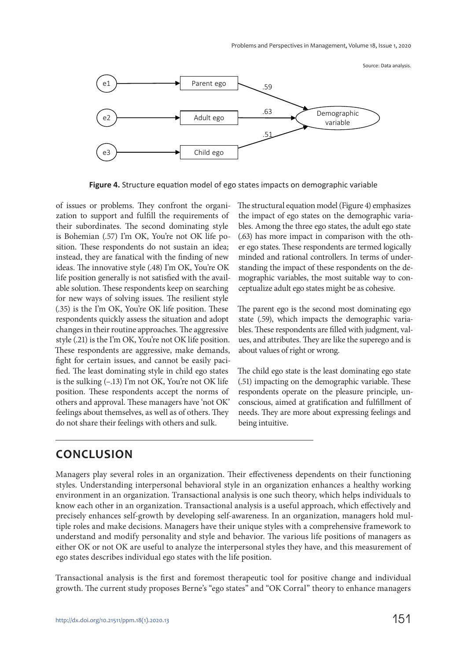Source: Data analysis.



**Figure 4.** Structure equation model of ego states impacts on demographic variable

of issues or problems. They confront the organization to support and fulfill the requirements of their subordinates. The second dominating style is Bohemian (.57) I'm OK, You're not OK life position. These respondents do not sustain an idea; instead, they are fanatical with the finding of new ideas. The innovative style (.48) I'm OK, You're OK life position generally is not satisfied with the available solution. These respondents keep on searching for new ways of solving issues. The resilient style (.35) is the I'm OK, You're OK life position. These respondents quickly assess the situation and adopt changes in their routine approaches. The aggressive style (.21) is the I'm OK, You're not OK life position. These respondents are aggressive, make demands, fight for certain issues, and cannot be easily pacified. The least dominating style in child ego states is the sulking (–.13) I'm not OK, You're not OK life position. These respondents accept the norms of others and approval. These managers have 'not OK' feelings about themselves, as well as of others. They do not share their feelings with others and sulk.

The structural equation model (Figure 4) emphasizes the impact of ego states on the demographic variables. Among the three ego states, the adult ego state (.63) has more impact in comparison with the other ego states. These respondents are termed logically minded and rational controllers. In terms of understanding the impact of these respondents on the demographic variables, the most suitable way to conceptualize adult ego states might be as cohesive.

The parent ego is the second most dominating ego state (.59), which impacts the demographic variables. These respondents are filled with judgment, values, and attributes. They are like the superego and is about values of right or wrong.

The child ego state is the least dominating ego state (.51) impacting on the demographic variable. These respondents operate on the pleasure principle, unconscious, aimed at gratification and fulfillment of needs. They are more about expressing feelings and being intuitive.

### **CONCLUSION**

Managers play several roles in an organization. Their effectiveness dependents on their functioning styles. Understanding interpersonal behavioral style in an organization enhances a healthy working environment in an organization. Transactional analysis is one such theory, which helps individuals to know each other in an organization. Transactional analysis is a useful approach, which effectively and precisely enhances self-growth by developing self-awareness. In an organization, managers hold multiple roles and make decisions. Managers have their unique styles with a comprehensive framework to understand and modify personality and style and behavior. The various life positions of managers as either OK or not OK are useful to analyze the interpersonal styles they have, and this measurement of ego states describes individual ego states with the life position.

Transactional analysis is the first and foremost therapeutic tool for positive change and individual growth. The current study proposes Berne's "ego states" and "OK Corral" theory to enhance managers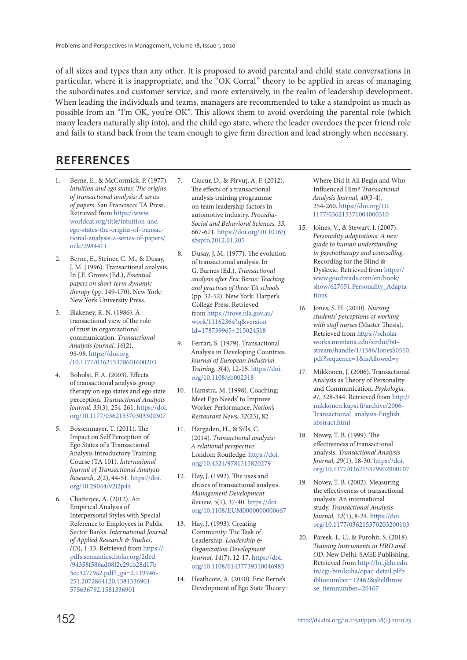of all sizes and types than any other. It is proposed to avoid parental and child state conversations in particular, where it is inappropriate, and the "OK Corral" theory to be applied in areas of managing the subordinates and customer service, and more extensively, in the realm of leadership development. When leading the individuals and teams, managers are recommended to take a standpoint as much as possible from an "I'm OK, you're OK". This allows them to avoid overdoing the parental role (which many leaders naturally slip into), and the child ego state, where the leader overdoes the peer friend role and fails to stand back from the team enough to give firm direction and lead strongly when necessary.

### **REFERENCES**

- 1. Berne, E., & McCormick, P. (1977). Intuition and ego states: The origins of transactional analysis: A series of papers. San Francisco: TA Press. Retrieved from https://www. worldcat.org/title/intuition-andego-states-the-origins-of-transactional-analysis-a-series-of-papers/ oclc/2984411
- 2. Berne, E., Steiner, C. M., & Dusay, J. M. (1996). Transactional analysis. In J.E. Groves (Ed.), Essential papers on short-term dynamic therapy (pp. 149-170). New York: New York University Press.
- 3. Blakeney, R. N. (1986). A transactional view of the role of trust in organizational communication. Transactional Analysis Journal, 16(2), 95-98. https://doi.org /10.1177/036215378601600203
- 4. Boholst, F. A. (2003). Effects of transactional analysis group therapy on ego states and ego state perception. Transactional Analysis Journal, 33(3), 254-261. https://doi. org/10.1177/036215370303300307
- 5. Bossenmayer, T. (2011). The Impact on Self Perception of Ego States of a Transactional Analysis Introductory Training Course (TA 101). International Journal of Transactional Analysis Research, 2(2), 44-51. https://doi. org/10.29044/v2i2p44
- 6. Chatterjee, A. (2012). An Empirical Analysis of Interpersonal Styles with Special Reference to Employees in Public Sector Banks. International Journal of Applied Research & Studies, 1(3), 1-13. Retrieved from https:// pdfs.semanticscholar.org/2ded /94358f586ad08f2e29cb28d17b 5ec32779a2.pdf?\_ga=2.119946-251.207 2864120.1 581336901- 575636792 .1581336901
- 7. Ciucur, D., & Pîrvuţ, A. F. (2012). The effects of a transactional analysis training programme on team leadership factors in automotive industry. Procedia-Social and Behavioral Sciences, 33, 667-671. https://doi.org/10.1016/j. sbspro.2012.01.205
- 8. Dusay, J. M. (1977). The evolution of transactional analysis. In G. Barnes (Ed.), Transactional analysis after Eric Berne: Teaching and practices of three TA schools (pp. 32-52). New York: Harper's College Press. Retrieved from https://trove.nla.gov.au/ work/11162364?q&version Id=178739965+215024518
- 9. Ferrari, S. (1979). Transactional Analysis in Developing Countries. Journal of European Industrial Training, 3(4), 12-15. https://doi. org/10.1108/eb002318
- 10. Hamstra, M. (1998). Coaching: Meet Ego Needs' to Improve Worker Performance. Nation's Restaurant News, 32(23), 82.
- 11. Hargaden, H., & Sills, C. (2014). Transactional analysis: A relational perspective. London: Routledge. https://doi. org/10.4324/9781315820279
- 12. Hay, J. (1992). The uses and abuses of transactional analysis. Management Development Review, 5(1), 37-40. https://doi. org/10.1108/EUM0000000000667
- 13. Hay, J. (1993). Creating Community: The Task of Leadership. Leadership & Organization Development Journal, 14(7), 12-17. https://doi. org/10.1108/01437739310046985
- 14. Heathcote, A. (2010). Eric Berne's Development of Ego State Theory:

Where Did It All Begin and Who Influenced Him? Transactional Analysis Journal, 40(3-4), 254-260. https://doi.org/10. 1177/036215371004000310

- 15. Joines, V., & Stewart, I. (2007). Personality adaptations: A new guide to human understanding in psychotherapy and counselling. Recording for the Blind & Dyslexic. Retrieved from https:// www.goodreads.com/en/book/ show/627051.Personality\_Adaptations
- 16. Jones, S. H. (2010). Nursing students' perceptions of working with staff nurses (Master Thesis). Retrieved from https://scholarworks.montana.edu/xmlui/bitstream/handle/1/1586/JonesS0510. pdf?sequence=1&isAllowed=y
- 17. Mikkonen, J. (2006). Transactional Analysis as Theory of Personality and Communication. Psykologia, 41, 328-344. Retrieved from http:// mikkonen.kapsi.fi/archive/2006- Transactional\_analysis-English\_ abstract.html
- 18. Novey, T. B. (1999). The effectiveness of transactional analysis. Transactional Analysis Journal, 29(1), 18-30. https://doi. org/10.1177/036215379902900107
- 19. Novey, T. B. (2002). Measuring the effectiveness of transactional analysis: An international study. Transactional Analysis Journal, 32(1), 8-24. https://doi. org/10.1177/036215370203200103
- 20. Pareek, L. U., & Purohit, S. (2018). Training Instruments in HRD and OD. New Delhi: SAGE Publishing. Retrieved from http://lrc.jklu.edu. in/cgi-bin/koha/opac-detail.pl?b iblionumber=12462&shelfbrow se\_itemnumber=20167